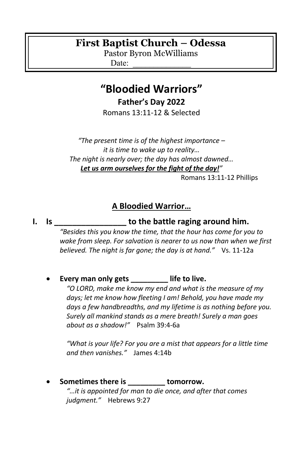# **First Baptist Church – Odessa**

Pastor Byron McWilliams

Date:

# **"Bloodied Warriors"**

**Father's Day 2022**

Romans 13:11-12 & Selected

*"The present time is of the highest importance – it is time to wake up to reality… The night is nearly over; the day has almost dawned… Let us arm ourselves for the fight of the day!"*

Romans 13:11-12 Phillips

## **A Bloodied Warrior…**

#### **I. Is \_\_\_\_\_\_\_\_\_\_\_\_\_\_\_\_ to the battle raging around him.**

*"Besides this you know the time, that the hour has come for you to wake from sleep. For salvation is nearer to us now than when we first believed. The night is far gone; the day is at hand."* Vs. 11-12a

• **Every man only gets \_\_\_\_\_\_\_\_\_ life to live.**

*"O LORD, make me know my end and what is the measure of my days; let me know how fleeting I am! Behold, you have made my days a few handbreadths, and my lifetime is as nothing before you. Surely all mankind stands as a mere breath! Surely a man goes about as a shadow!"* Psalm 39:4-6a

*"What is your life? For you are a mist that appears for a little time and then vanishes."* James 4:14b

• **Sometimes there is \_\_\_\_\_\_\_\_\_ tomorrow.** *"…it is appointed for man to die once, and after that comes judgment."* Hebrews 9:27